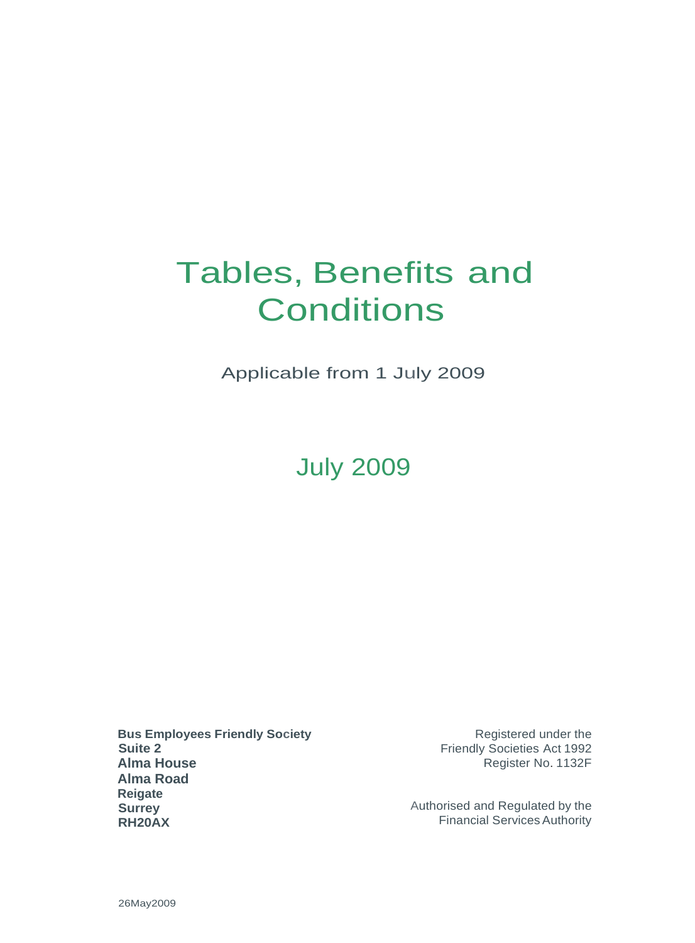# Tables, Benefits and **Conditions**

Applicable from 1 July 2009

# July 2009

**Bus Employees Friendly Society Suite 2 Alma House Alma Road Reigate Surrey RH20AX**

Registered under the Friendly Societies Act 1992 Register No. 1132F

Authorised and Regulated by the Financial ServicesAuthority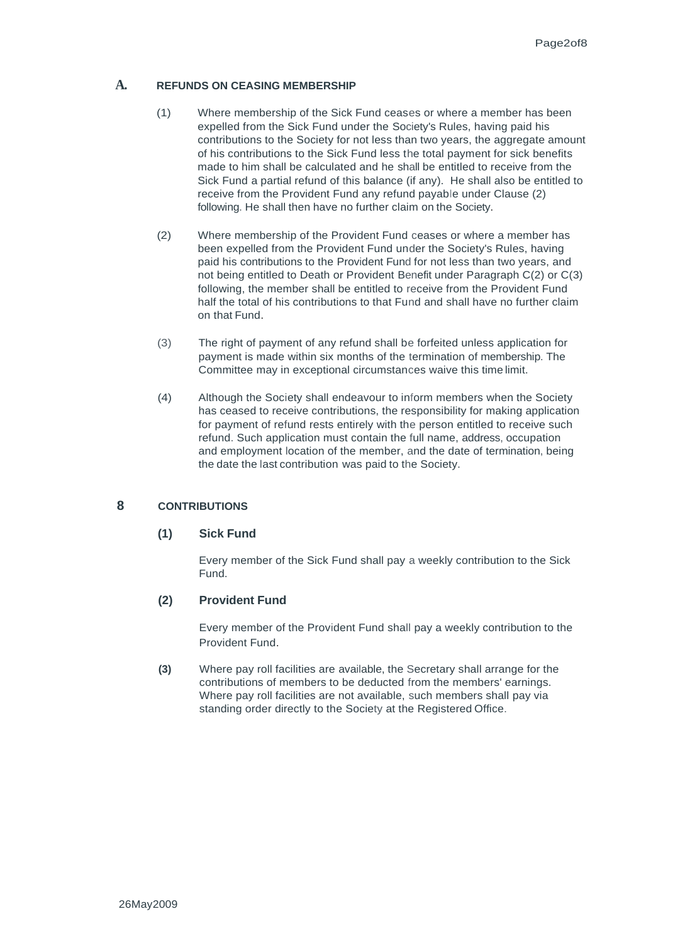#### **A. REFUNDS ON CEASING MEMBERSHIP**

- (1) Where membership of the Sick Fund ceases or where a member has been expelled from the Sick Fund under the Society's Rules, having paid his contributions to the Society for not less than two years, the aggregate amount of his contributions to the Sick Fund less the total payment for sick benefits made to him shall be calculated and he shall be entitled to receive from the Sick Fund a partial refund of this balance (if any). He shall also be entitled to receive from the Provident Fund any refund payable under Clause (2) following. He shall then have no further claim on the Society.
- (2) Where membership of the Provident Fund ceases or where a member has been expelled from the Provident Fund under the Society's Rules, having paid his contributions to the Provident Fund for not less than two years, and not being entitled to Death or Provident Benefit under Paragraph C(2) or C(3) following, the member shall be entitled to receive from the Provident Fund half the total of his contributions to that Fund and shall have no further claim on that Fund.
- (3) The right of payment of any refund shall be forfeited unless application for payment is made within six months of the termination of membership. The Committee may in exceptional circumstances waive this time limit.
- (4) Although the Society shall endeavour to inform members when the Society has ceased to receive contributions, the responsibility for making application for payment of refund rests entirely with the person entitled to receive such refund. Such application must contain the full name, address, occupation and employment location of the member, and the date of termination, being the date the last contribution was paid to the Society.

### **8 CONTRIBUTIONS**

# **(1) Sick Fund**

Every member of the Sick Fund shall pay a weekly contribution to the Sick Fund.

### **(2) Provident Fund**

Every member of the Provident Fund shall pay a weekly contribution to the Provident Fund.

**(3)** Where pay roll facilities are available, the Secretary shall arrange for the contributions of members to be deducted from the members' earnings. Where pay roll facilities are not available, such members shall pay via standing order directly to the Society at the Registered Office.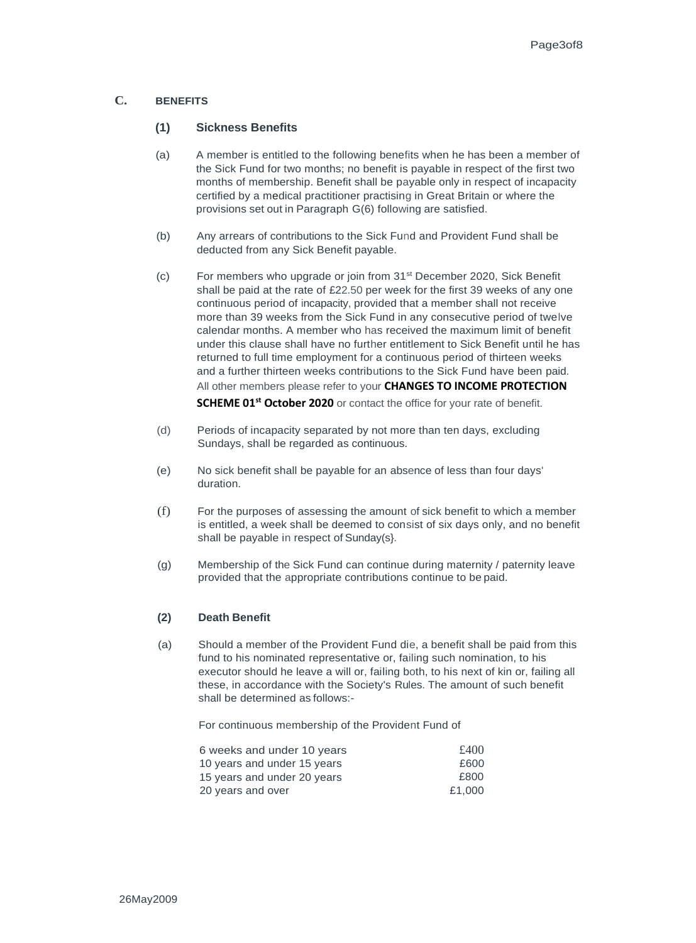### **C. BENEFITS**

#### **(1) Sickness Benefits**

- (a) A member is entitled to the following benefits when he has been a member of the Sick Fund for two months; no benefit is payable in respect of the first two months of membership. Benefit shall be payable only in respect of incapacity certified by a medical practitioner practising in Great Britain or where the provisions set out in Paragraph G(6) following are satisfied.
- (b) Any arrears of contributions to the Sick Fund and Provident Fund shall be deducted from any Sick Benefit payable.
- (c) For members who upgrade or join from 31st December 2020, Sick Benefit shall be paid at the rate of £22.50 per week for the first 39 weeks of any one continuous period of incapacity, provided that a member shall not receive more than 39 weeks from the Sick Fund in any consecutive period of twelve calendar months. A member who has received the maximum limit of benefit under this clause shall have no further entitlement to Sick Benefit until he has returned to full time employment for a continuous period of thirteen weeks and a further thirteen weeks contributions to the Sick Fund have been paid. All other members please refer to your **CHANGES TO INCOME PROTECTION SCHEME 01st October 2020** or contact the office for your rate of benefit.
- (d) Periods of incapacity separated by not more than ten days, excluding Sundays, shall be regarded as continuous.
- (e) No sick benefit shall be payable for an absence of less than four days' duration.
- (f) For the purposes of assessing the amount of sick benefit to which a member is entitled, a week shall be deemed to consist of six days only, and no benefit shall be payable in respect of Sunday(s}.
- (g) Membership of the Sick Fund can continue during maternity / paternity leave provided that the appropriate contributions continue to be paid.

#### **(2) Death Benefit**

(a) Should a member of the Provident Fund die, a benefit shall be paid from this fund to his nominated representative or, failing such nomination, to his executor should he leave a will or, failing both, to his next of kin or, failing all these, in accordance with the Society's Rules. The amount of such benefit shall be determined as follows:-

For continuous membership of the Provident Fund of

| 6 weeks and under 10 years  | £400   |
|-----------------------------|--------|
| 10 years and under 15 years | £600   |
| 15 years and under 20 years | £800   |
| 20 years and over           | £1.000 |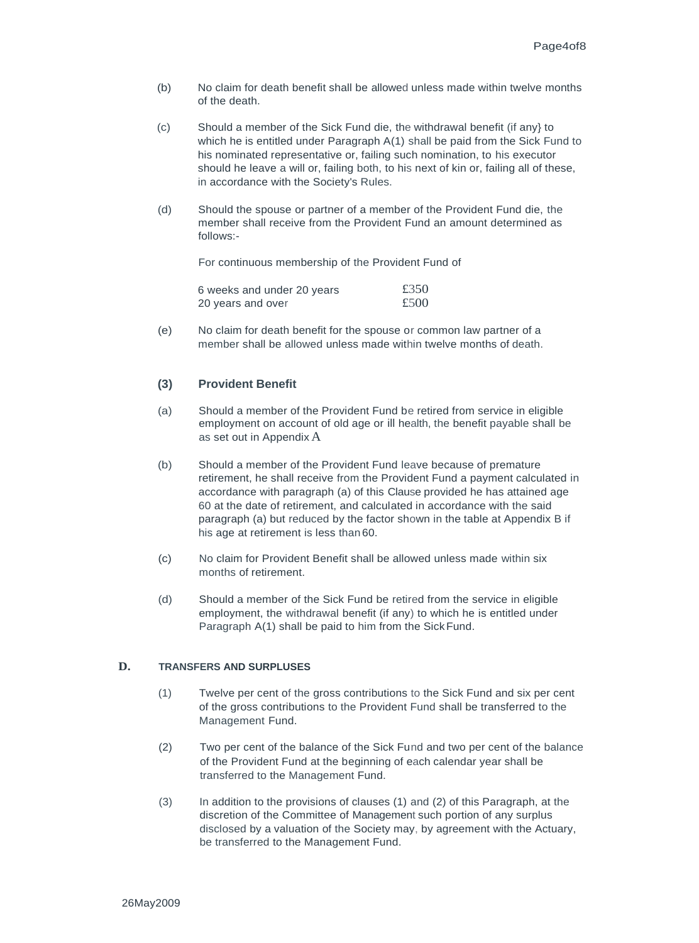- (b) No claim for death benefit shall be allowed unless made within twelve months of the death.
- (c) Should a member of the Sick Fund die, the withdrawal benefit (if any} to which he is entitled under Paragraph A(1) shall be paid from the Sick Fund to his nominated representative or, failing such nomination, to his executor should he leave a will or, failing both, to his next of kin or, failing all of these, in accordance with the Society's Rules.
- (d) Should the spouse or partner of a member of the Provident Fund die, the member shall receive from the Provident Fund an amount determined as follows:-

For continuous membership of the Provident Fund of

| 6 weeks and under 20 years | £350 |
|----------------------------|------|
| 20 years and over          | £500 |

(e) No claim for death benefit for the spouse or common law partner of a member shall be allowed unless made within twelve months of death.

### **(3) Provident Benefit**

- (a) Should a member of the Provident Fund be retired from service in eligible employment on account of old age or ill health, the benefit payable shall be as set out in Appendix A
- (b) Should a member of the Provident Fund leave because of premature retirement, he shall receive from the Provident Fund a payment calculated in accordance with paragraph (a) of this Clause provided he has attained age 60 at the date of retirement, and calculated in accordance with the said paragraph (a) but reduced by the factor shown in the table at Appendix B if his age at retirement is less than 60.
- (c) No claim for Provident Benefit shall be allowed unless made within six months of retirement.
- (d) Should a member of the Sick Fund be retired from the service in eligible employment, the withdrawal benefit (if any) to which he is entitled under Paragraph A(1) shall be paid to him from the Sick Fund.

#### **D. TRANSFERS AND SURPLUSES**

- (1) Twelve per cent of the gross contributions to the Sick Fund and six per cent of the gross contributions to the Provident Fund shall be transferred to the Management Fund.
- (2) Two per cent of the balance of the Sick Fund and two per cent of the balance of the Provident Fund at the beginning of each calendar year shall be transferred to the Management Fund.
- (3) In addition to the provisions of clauses (1) and (2) of this Paragraph, at the discretion of the Committee of Management such portion of any surplus disclosed by a valuation of the Society may, by agreement with the Actuary, be transferred to the Management Fund.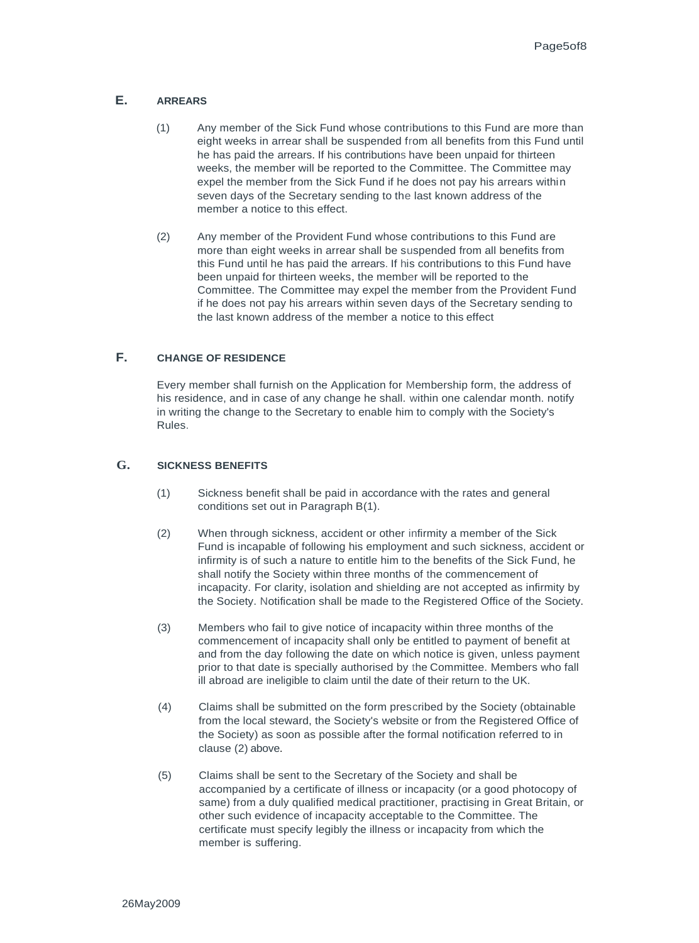#### **E. ARREARS**

- (1) Any member of the Sick Fund whose contributions to this Fund are more than eight weeks in arrear shall be suspended from all benefits from this Fund until he has paid the arrears. If his contributions have been unpaid for thirteen weeks, the member will be reported to the Committee. The Committee may expel the member from the Sick Fund if he does not pay his arrears within seven days of the Secretary sending to the last known address of the member a notice to this effect.
- (2) Any member of the Provident Fund whose contributions to this Fund are more than eight weeks in arrear shall be suspended from all benefits from this Fund until he has paid the arrears. If his contributions to this Fund have been unpaid for thirteen weeks, the member will be reported to the Committee. The Committee may expel the member from the Provident Fund if he does not pay his arrears within seven days of the Secretary sending to the last known address of the member a notice to this effect

#### **F. CHANGE OF RESIDENCE**

Every member shall furnish on the Application for Membership form, the address of his residence, and in case of any change he shall. within one calendar month. notify in writing the change to the Secretary to enable him to comply with the Society's Rules.

#### **G. SICKNESS BENEFITS**

- (1) Sickness benefit shall be paid in accordance with the rates and general conditions set out in Paragraph B(1).
- (2) When through sickness, accident or other infirmity a member of the Sick Fund is incapable of following his employment and such sickness, accident or infirmity is of such a nature to entitle him to the benefits of the Sick Fund, he shall notify the Society within three months of the commencement of incapacity. For clarity, isolation and shielding are not accepted as infirmity by the Society. Notification shall be made to the Registered Office of the Society.
- (3) Members who fail to give notice of incapacity within three months of the commencement of incapacity shall only be entitled to payment of benefit at and from the day following the date on which notice is given, unless payment prior to that date is specially authorised by the Committee. Members who fall ill abroad are ineligible to claim until the date of their return to the UK.
- (4) Claims shall be submitted on the form prescribed by the Society (obtainable from the local steward, the Society's website or from the Registered Office of the Society) as soon as possible after the formal notification referred to in clause (2) above.
- (5) Claims shall be sent to the Secretary of the Society and shall be accompanied by a certificate of illness or incapacity (or a good photocopy of same) from a duly qualified medical practitioner, practising in Great Britain, or other such evidence of incapacity acceptable to the Committee. The certificate must specify legibly the illness or incapacity from which the member is suffering.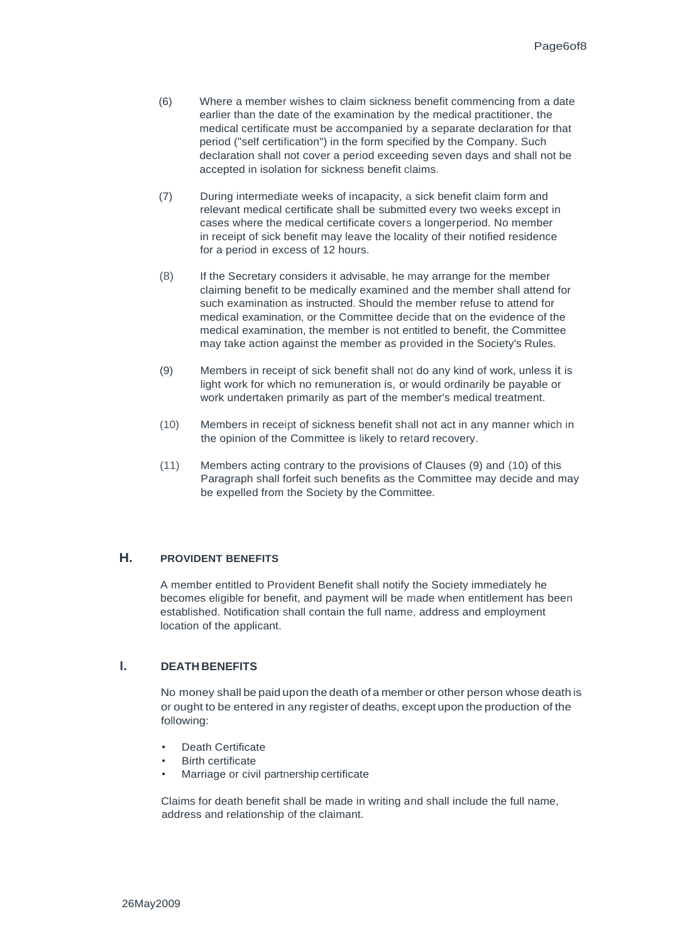- (6) Where a member wishes to claim sickness benefit commencing from a date earlier than the date of the examination by the medical practitioner, the medical certificate must be accompanied by a separate declaration for that period ("self certification") in the form specified by the Company. Such declaration shall not cover a period exceeding seven days and shall not be accepted in isolation for sickness benefit claims.
- (7) During intermediate weeks of incapacity, a sick benefit claim form and relevant medical certificate shall be submitted every two weeks except in cases where the medical certificate covers a longerperiod. No member in receipt of sick benefit may leave the locality of their notified residence for a period in excess of 12 hours.
- (8) If the Secretary considers it advisable, he may arrange for the member claiming benefit to be medically examined and the member shall attend for such examination as instructed. Should the member refuse to attend for medical examination, or the Committee decide that on the evidence of the medical examination, the member is not entitled to benefit, the Committee may take action against the member as provided in the Society's Rules.
- (9) Members in receipt of sick benefit shall not do any kind of work, unless it is light work for which no remuneration is, or would ordinarily be payable or work undertaken primarily as part of the member's medical treatment.
- (10) Members in receipt of sickness benefit shall not act in any manner which in the opinion of the Committee is likely to retard recovery.
- (11) Members acting contrary to the provisions of Clauses (9) and (10) of this Paragraph shall forfeit such benefits as the Committee may decide and may be expelled from the Society by the Committee.

## **H. PROVIDENT BENEFITS**

A member entitled to Provident Benefit shall notify the Society immediately he becomes eligible for benefit, and payment will be made when entitlement has been established. Notification shall contain the full name, address and employment location of the applicant.

#### **I. DEATH BENEFITS**

No money shall be paid upon the death of a member or other person whose death is or ought to be entered in any register of deaths, except upon the production of the following:

- Death Certificate
- **Birth certificate**
- Marriage or civil partnership certificate

Claims for death benefit shall be made in writing and shall include the full name, address and relationship of the claimant.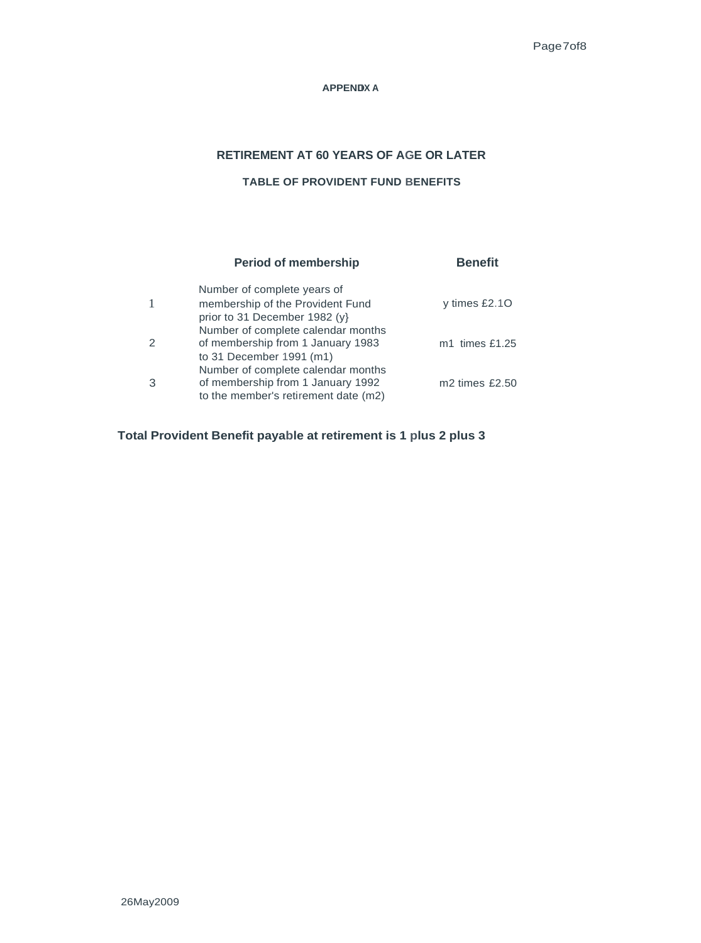#### **APPENDIX A**

# **RETIREMENT AT 60 YEARS OF AGE OR LATER**

# **TABLE OF PROVIDENT FUND BENEFITS**

|   | <b>Period of membership</b>                                                                                     | <b>Benefit</b>   |
|---|-----------------------------------------------------------------------------------------------------------------|------------------|
|   | Number of complete years of<br>membership of the Provident Fund<br>prior to 31 December 1982 (y)                | y times $£2.10$  |
|   | Number of complete calendar months<br>of membership from 1 January 1983<br>to 31 December 1991 (m1)             | $m1$ times £1.25 |
| 3 | Number of complete calendar months<br>of membership from 1 January 1992<br>to the member's retirement date (m2) | $m2$ times £2.50 |

**Total Provident Benefit payable at retirement is 1 plus 2 plus 3**